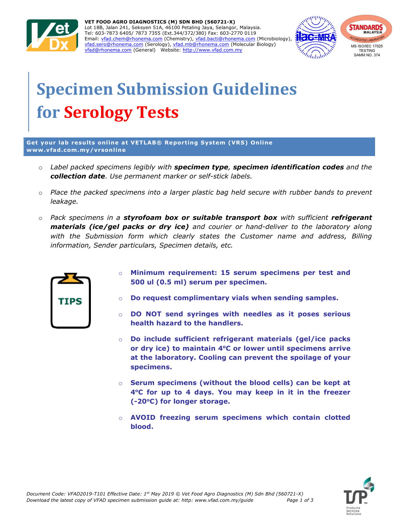

VET FOOD AGRO DIAGNOSTICS (M) SDN BHD (560721-X) Lot 18B, Jalan 241, Seksyen 51A, 46100 Petaling Jaya, Selangor, Malaysia. Tel: 603-7873 6405/ 7873 7355 (Ext.344/372/380) Fax: 603-2770 0119 Email: vfad.chem@rhonema.com (Chemistry), vfad.bacti@rhonema.com (Microbiology), vfad.sero@rhonema.com (Serology), vfad.mb@rhonema.com (Molecular Biology) vfad@rhonema.com (General) Website: http://www.vfad.com.my



## Specimen Submission Guidelines for Serology Tests

Get your lab results online at VETLAB® Reporting System (VRS) Online www.vfad.com.my/vrsonline

- $\circ$  Label packed specimens legibly with specimen type, specimen identification codes and the collection date. Use permanent marker or self-stick labels.
- $\circ$  Place the packed specimens into a larger plastic bag held secure with rubber bands to prevent leakage.
- $\circ$  Pack specimens in a styrofoam box or suitable transport box with sufficient refrigerant materials (ice/gel packs or dry ice) and courier or hand-deliver to the laboratory along with the Submission form which clearly states the Customer name and address, Billing information, Sender particulars, Specimen details, etc.



- Minimum requirement: 15 serum specimens per test and 500 ul (0.5 ml) serum per specimen.
- o Do request complimentary vials when sending samples.
- $\circ$  DO NOT send syringes with needles as it poses serious health hazard to the handlers.
- o Do include sufficient refrigerant materials (gel/ice packs or dry ice) to maintain  $4^{\circ}$ C or lower until specimens arrive at the laboratory. Cooling can prevent the spoilage of your specimens.
- o Serum specimens (without the blood cells) can be kept at 4°C for up to 4 days. You may keep in it in the freezer (-20°C) for longer storage.
- AVOID freezing serum specimens which contain clotted blood.

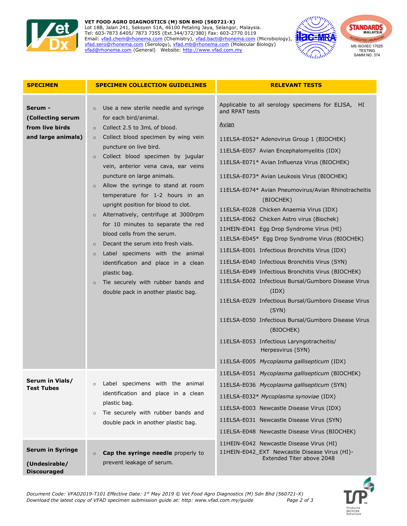

## VET FOOD AGRO DIAGNOSTICS (M) SDN BHD (560721-X) Lot 18B, Jalan 241, Seksyen 51A, 46100 Petaling Jaya, Selangor, Malaysia.

Tel: 603-7873 6405/ 7873 7355 (Ext.344/372/380) Fax: 603-2770 0119 Email: vfad.chem@rhonema.com (Chemistry), vfad.bacti@rhonema.com (Microbiology), vfad.sero@rhonema.com (Serology), vfad.mb@rhonema.com (Molecular Biology) vfad@rhonema.com (General) Website: http://www.vfad.com.my



| <b>SPECIMEN</b>                                                       | <b>SPECIMEN COLLECTION GUIDELINES</b>                                                                                                                                                                                                                                                                                                                                                                                                                                                                                                                                                                                                                                                                                                                                                                      | <b>RELEVANT TESTS</b>                                                                                                                                                                                                                                                                                                                                                                                                                                                                                                                                                                                                                                                                                                                                                                                                                                                                                                                                                                                              |
|-----------------------------------------------------------------------|------------------------------------------------------------------------------------------------------------------------------------------------------------------------------------------------------------------------------------------------------------------------------------------------------------------------------------------------------------------------------------------------------------------------------------------------------------------------------------------------------------------------------------------------------------------------------------------------------------------------------------------------------------------------------------------------------------------------------------------------------------------------------------------------------------|--------------------------------------------------------------------------------------------------------------------------------------------------------------------------------------------------------------------------------------------------------------------------------------------------------------------------------------------------------------------------------------------------------------------------------------------------------------------------------------------------------------------------------------------------------------------------------------------------------------------------------------------------------------------------------------------------------------------------------------------------------------------------------------------------------------------------------------------------------------------------------------------------------------------------------------------------------------------------------------------------------------------|
| Serum -<br>(Collecting serum<br>from live birds<br>and large animals) | Use a new sterile needle and syringe<br>$\circ$<br>for each bird/animal.<br>Collect 2.5 to 3mL of blood.<br>$\circ$<br>Collect blood specimen by wing vein<br>$\circ$<br>puncture on live bird.<br>Collect blood specimen by jugular<br>$\circ$<br>vein, anterior vena cava, ear veins<br>puncture on large animals.<br>Allow the syringe to stand at room<br>temperature for 1-2 hours in an<br>upright position for blood to clot.<br>Alternatively, centrifuge at 3000rpm<br>$\circ$<br>for 10 minutes to separate the red<br>blood cells from the serum.<br>Decant the serum into fresh vials.<br>$\circ$<br>Label specimens with the animal<br>$\circ$<br>identification and place in a clean<br>plastic bag.<br>Tie securely with rubber bands and<br>$\circ$<br>double pack in another plastic bag. | Applicable to all serology specimens for ELISA, HI<br>and RPAT tests<br><u>Avian</u><br>11ELSA-E052* Adenovirus Group 1 (BIOCHEK)<br>11ELSA-E057 Avian Encephalomyelitis (IDX)<br>11ELSA-E071* Avian Influenza Virus (BIOCHEK)<br>11ELSA-E073* Avian Leukosis Virus (BIOCHEK)<br>11ELSA-E074* Avian Pneumovirus/Avian Rhinotracheitis<br>(BIOCHEK)<br>11ELSA-E028 Chicken Anaemia Virus (IDX)<br>11ELSA-E062 Chicken Astro virus (Biochek)<br>11HEIN-E041 Egg Drop Syndrome Virus (HI)<br>11ELSA-E045* Egg Drop Syndrome Virus (BIOCHEK)<br>11ELSA-E001 Infectious Bronchitis Virus (IDX)<br>11ELSA-E040 Infectious Bronchitis Virus (SYN)<br>11ELSA-E049 Infectious Bronchitis Virus (BIOCHEK)<br>11ELSA-E002 Infectious Bursal/Gumboro Disease Virus<br>(ID)<br>11ELSA-E029 Infectious Bursal/Gumboro Disease Virus<br>(SYN)<br>11ELSA-E050 Infectious Bursal/Gumboro Disease Virus<br>(BIOCHEK)<br>11ELSA-E053 Infectious Laryngotracheitis/<br>Herpesvirus (SYN)<br>11ELSA-E005 Mycoplasma gallisepticum (IDX) |
| Serum in Vials/<br><b>Test Tubes</b>                                  | Label specimens with the animal<br>$\circ$<br>identification and place in a clean<br>plastic bag.<br>Tie securely with rubber bands and<br>$\circ$<br>double pack in another plastic bag.                                                                                                                                                                                                                                                                                                                                                                                                                                                                                                                                                                                                                  | 11ELSA-E051 Mycoplasma gallisepticum (BIOCHEK)<br>11ELSA-E036 Mycoplasma gallisepticum (SYN)<br>11ELSA-E032* Mycoplasma synoviae (IDX)<br>11ELSA-E003 Newcastle Disease Virus (IDX)<br>11ELSA-E031 Newcastle Disease Virus (SYN)<br>11ELSA-E048 Newcastle Disease Virus (BIOCHEK)                                                                                                                                                                                                                                                                                                                                                                                                                                                                                                                                                                                                                                                                                                                                  |
| <b>Serum in Syringe</b><br>(Undesirable/<br><b>Discouraged</b>        | Cap the syringe needle properly to<br>$\circ$<br>prevent leakage of serum.                                                                                                                                                                                                                                                                                                                                                                                                                                                                                                                                                                                                                                                                                                                                 | 11HEIN-E042 Newcastle Disease Virus (HI)<br>11HEIN-E042_EXT Newcastle Disease Virus (HI)-<br>Extended Titer above 2048                                                                                                                                                                                                                                                                                                                                                                                                                                                                                                                                                                                                                                                                                                                                                                                                                                                                                             |